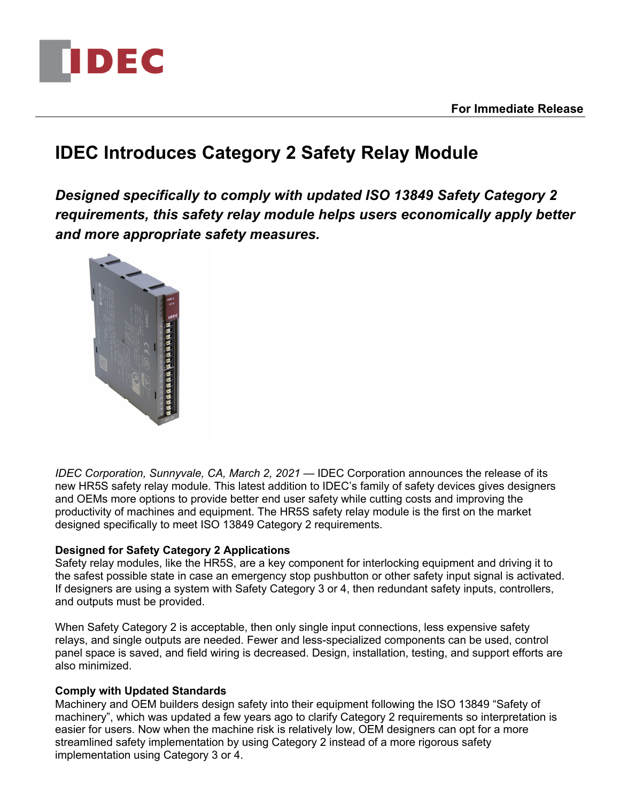

**For Immediate Release**

# **IDEC Introduces Category 2 Safety Relay Module**

*Designed specifically to comply with updated ISO 13849 Safety Category 2 requirements, this safety relay module helps users economically apply better and more appropriate safety measures.*



*IDEC Corporation, Sunnyvale, CA, March 2, 2021* — IDEC Corporation announces the release of its new HR5S safety relay module. This latest addition to IDEC's family of safety devices gives designers and OEMs more options to provide better end user safety while cutting costs and improving the productivity of machines and equipment. The HR5S safety relay module is the first on the market designed specifically to meet ISO 13849 Category 2 requirements.

# **Designed for Safety Category 2 Applications**

Safety relay modules, like the HR5S, are a key component for interlocking equipment and driving it to the safest possible state in case an emergency stop pushbutton or other safety input signal is activated. If designers are using a system with Safety Category 3 or 4, then redundant safety inputs, controllers, and outputs must be provided.

When Safety Category 2 is acceptable, then only single input connections, less expensive safety relays, and single outputs are needed. Fewer and less-specialized components can be used, control panel space is saved, and field wiring is decreased. Design, installation, testing, and support efforts are also minimized.

## **Comply with Updated Standards**

Machinery and OEM builders design safety into their equipment following the ISO 13849 "Safety of machinery", which was updated a few years ago to clarify Category 2 requirements so interpretation is easier for users. Now when the machine risk is relatively low, OEM designers can opt for a more streamlined safety implementation by using Category 2 instead of a more rigorous safety implementation using Category 3 or 4.